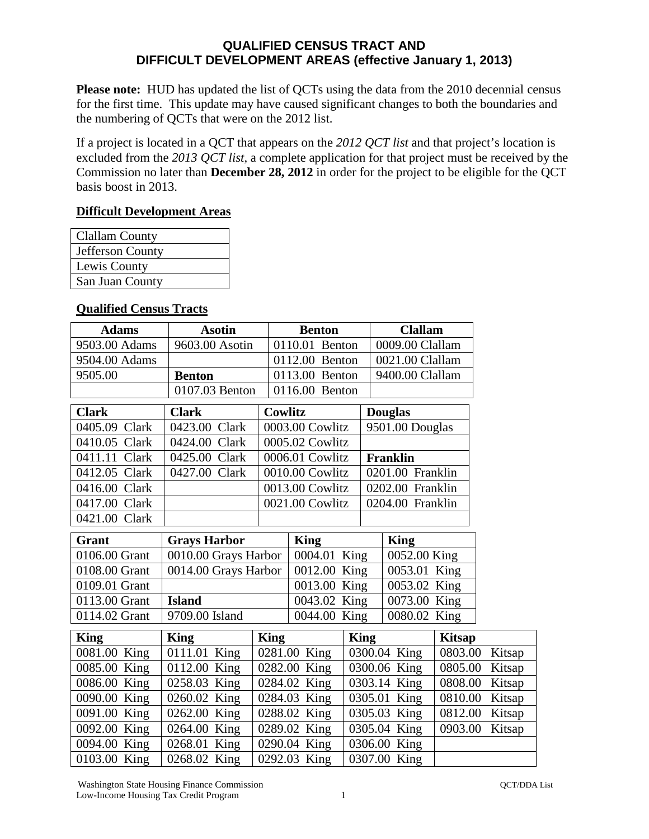## **QUALIFIED CENSUS TRACT AND DIFFICULT DEVELOPMENT AREAS (effective January 1, 2013)**

**Please note:** HUD has updated the list of QCTs using the data from the 2010 decennial census for the first time. This update may have caused significant changes to both the boundaries and the numbering of QCTs that were on the 2012 list.

If a project is located in a QCT that appears on the *2012 QCT list* and that project's location is excluded from the *2013 QCT list*, a complete application for that project must be received by the Commission no later than **December 28, 2012** in order for the project to be eligible for the QCT basis boost in 2013.

## **Difficult Development Areas**

| <b>Clallam County</b> |
|-----------------------|
| Jefferson County      |
| Lewis County          |
| San Juan County       |
|                       |

## **Qualified Census Tracts**

| <b>Adams</b>  | <b>Asotin</b>        |             | <b>Benton</b>   |             | <b>Clallam</b>   |               |        |
|---------------|----------------------|-------------|-----------------|-------------|------------------|---------------|--------|
| 9503.00 Adams | 9603.00 Asotin       |             | 0110.01 Benton  |             | 0009.00 Clallam  |               |        |
| 9504.00 Adams |                      |             | 0112.00 Benton  |             | 0021.00 Clallam  |               |        |
| 9505.00       | <b>Benton</b>        |             | 0113.00 Benton  |             | 9400.00 Clallam  |               |        |
|               | 0107.03 Benton       |             | 0116.00 Benton  |             |                  |               |        |
| <b>Clark</b>  | <b>Clark</b>         | Cowlitz     |                 |             | <b>Douglas</b>   |               |        |
| 0405.09 Clark | 0423.00 Clark        |             | 0003.00 Cowlitz |             | 9501.00 Douglas  |               |        |
| 0410.05 Clark | 0424.00 Clark        |             | 0005.02 Cowlitz |             |                  |               |        |
| 0411.11 Clark | 0425.00 Clark        |             | 0006.01 Cowlitz |             | <b>Franklin</b>  |               |        |
| 0412.05 Clark | 0427.00 Clark        |             | 0010.00 Cowlitz |             | 0201.00 Franklin |               |        |
| 0416.00 Clark |                      |             | 0013.00 Cowlitz |             | 0202.00 Franklin |               |        |
| 0417.00 Clark |                      |             | 0021.00 Cowlitz |             | 0204.00 Franklin |               |        |
| 0421.00 Clark |                      |             |                 |             |                  |               |        |
| Grant         | <b>Grays Harbor</b>  |             | <b>King</b>     |             | <b>King</b>      |               |        |
| 0106.00 Grant | 0010.00 Grays Harbor |             | 0004.01 King    |             | 0052.00 King     |               |        |
| 0108.00 Grant | 0014.00 Grays Harbor |             | 0012.00 King    |             | 0053.01 King     |               |        |
| 0109.01 Grant |                      |             | 0013.00 King    |             | 0053.02 King     |               |        |
| 0113.00 Grant | <b>Island</b>        |             | 0043.02 King    |             | 0073.00 King     |               |        |
| 0114.02 Grant | 9709.00 Island       |             | 0044.00 King    |             | 0080.02 King     |               |        |
| <b>King</b>   | <b>King</b>          | <b>King</b> |                 | <b>King</b> |                  | <b>Kitsap</b> |        |
| 0081.00 King  | 0111.01 King         |             | 0281.00 King    |             | 0300.04 King     | 0803.00       | Kitsap |
| 0085.00 King  | 0112.00 King         |             | 0282.00 King    |             | 0300.06 King     | 0805.00       | Kitsap |
| 0086.00 King  | 0258.03 King         |             | 0284.02 King    |             | 0303.14 King     | 0808.00       | Kitsap |
| 0090.00 King  | 0260.02 King         |             | 0284.03 King    |             | 0305.01 King     | 0810.00       | Kitsap |
| 0091.00 King  | 0262.00 King         |             | 0288.02 King    |             | 0305.03 King     | 0812.00       | Kitsap |
| 0092.00 King  | 0264.00 King         |             | 0289.02 King    |             | 0305.04 King     | 0903.00       | Kitsap |
| 0094.00 King  | 0268.01 King         |             | 0290.04 King    |             | 0306.00 King     |               |        |
| 0103.00 King  | 0268.02 King         |             | 0292.03 King    |             | 0307.00 King     |               |        |